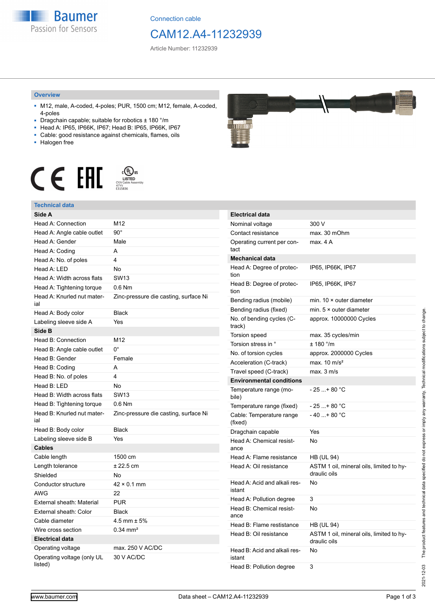

Connection cable

## CAM12.A4-11232939

Article Number: 11232939

#### **Overview**

- M12, male, A-coded, 4-poles; PUR, 1500 cm; M12, female, A-coded, 4-poles
- Dragchain capable; suitable for robotics ± 180 °/m
- Head A: IP65, IP66K, IP67; Head B: IP65, IP66K, IP67
- Cable: good resistance against chemicals, flames, oils
- Halogen free



### **Technical data**

| Side A                                |                                       |
|---------------------------------------|---------------------------------------|
| Head A: Connection                    | M12                                   |
| Head A: Angle cable outlet            | $90^{\circ}$                          |
| Head A: Gender                        | Male                                  |
| Head A: Coding                        | A                                     |
| Head A: No. of poles                  | 4                                     |
| Head A: LED                           | No                                    |
| Head A: Width across flats            | <b>SW13</b>                           |
| Head A: Tightening torque             | $0.6$ Nm                              |
| Head A: Knurled nut mater-<br>ial     | Zinc-pressure die casting, surface Ni |
| Head A: Body color                    | <b>Black</b>                          |
| Labeling sleeve side A                | Yes                                   |
| Side B                                |                                       |
| Head B: Connection                    | M12                                   |
| Head B: Angle cable outlet            | $0^{\circ}$                           |
| Head B: Gender                        | Female                                |
| Head B: Coding                        | A                                     |
| Head B: No. of poles                  | 4                                     |
| Head B: LED                           | No                                    |
| Head B: Width across flats            | <b>SW13</b>                           |
| Head B: Tightening torque             | $0.6$ Nm                              |
| Head B: Knurled nut mater-<br>ial     | Zinc-pressure die casting, surface Ni |
| Head B: Body color                    | <b>Black</b>                          |
| Labeling sleeve side B                | Yes                                   |
| <b>Cables</b>                         |                                       |
| Cable length                          | 1500 cm                               |
| Length tolerance                      | $± 22.5$ cm                           |
| Shielded                              | No                                    |
| Conductor structure                   | $42 \times 0.1$ mm                    |
| AWG                                   | 22                                    |
| External sheath: Material             | <b>PUR</b>                            |
| External sheath: Color                | <b>Black</b>                          |
| Cable diameter                        | 4.5 mm $\pm$ 5%                       |
| Wire cross section                    | $0.34$ mm <sup>2</sup>                |
| <b>Electrical data</b>                |                                       |
| Operating voltage                     | max. 250 V AC/DC                      |
| Operating voltage (only UL<br>listed) | 30 V AC/DC                            |



| <b>Electrical data</b>                 |                                                          |
|----------------------------------------|----------------------------------------------------------|
| Nominal voltage                        | 300 V                                                    |
| Contact resistance                     | max. 30 mOhm                                             |
| Operating current per con-<br>tact     | max. 4 A                                                 |
| <b>Mechanical data</b>                 |                                                          |
| Head A: Degree of protec-<br>tion      | IP65, IP66K, IP67                                        |
| Head B: Degree of protec-<br>tion      | IP65, IP66K, IP67                                        |
| Bending radius (mobile)                | min. $10 \times$ outer diameter                          |
| Bending radius (fixed)                 | min. $5 \times$ outer diameter                           |
| No. of bending cycles (C-<br>track)    | approx. 10000000 Cycles                                  |
| Torsion speed                          | max. 35 cycles/min                                       |
| Torsion stress in °                    | ± 180 °/m                                                |
| No. of torsion cycles                  | approx. 2000000 Cycles                                   |
| Acceleration (C-track)                 | max. $10 \text{ m/s}^2$                                  |
| Travel speed (C-track)                 | max. 3 m/s                                               |
| <b>Environmental conditions</b>        |                                                          |
| Temperature range (mo-<br>bile)        | - 25 + 80 °C                                             |
| Temperature range (fixed)              | $-25+80 °C$                                              |
| Cable: Temperature range<br>(fixed)    | $-40+80 °C$                                              |
| Dragchain capable                      | Yes                                                      |
| Head A: Chemical resist-<br>ance       | No                                                       |
| Head A: Flame resistance               | HB (UL 94)                                               |
| Head A: Oil resistance                 | ASTM 1 oil, mineral oils, limited to hy-<br>draulic oils |
| Head A: Acid and alkali res-<br>istant | No                                                       |
| Head A: Pollution degree               | 3                                                        |
| Head B: Chemical resist-<br>ance       | No                                                       |
| Head B: Flame restistance              | HB (UL 94)                                               |
| Head B: Oil resistance                 | ASTM 1 oil, mineral oils, limited to hy-<br>draulic oils |
| Head B: Acid and alkali res-<br>istant | No                                                       |
| Head B: Pollution degree               | 3                                                        |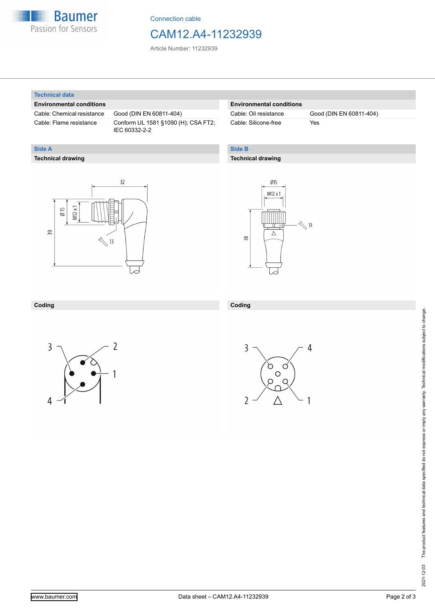

Connection cable

## CAM12.A4-11232939

Article Number: 11232939

#### **Technical data**

**Technical drawing**

**Side A**

#### **Environmental conditions**

Cable: Chemical resistance Good (DIN EN 60811-404)

Cable: Flame resistance Conform UL 1581 §1090 (H); CSA FT2; IEC 60332-2-2

#### **Environmental conditions**

Cable: Silicone-free Yes

Cable: Oil resistance Good (DIN EN 60811-404)

#### **Side B**

**Coding**

#### **Technical drawing**

# $32$  $M12x1$  $\emptyset$  15 39  $\sqrt[3]{13}$



#### **Coding**